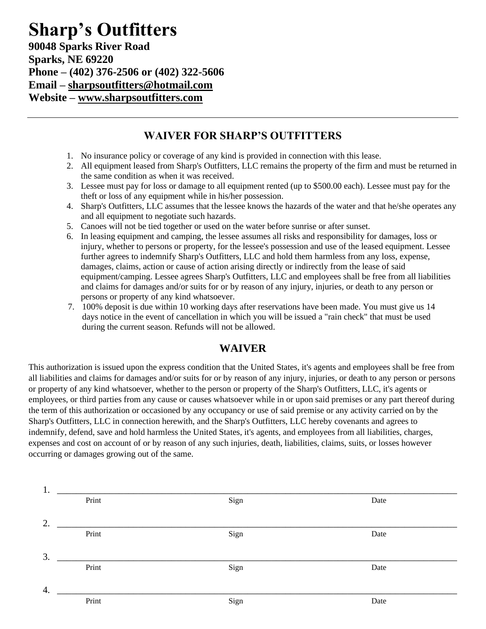### **Sharp's Outfitters 90048 Sparks River Road Sparks, NE 69220 Phone – (402) 376-2506 or (402) 322-5606 Email – [sharpsoutfitters@hotmail.com](mailto:sharpsoutfitters@hotmail.com) Website – [www.sharpsoutfitters.com](http://www.sharpsoutfitters.com/)**

#### **WAIVER FOR SHARP'S OUTFITTERS**

- 1. No insurance policy or coverage of any kind is provided in connection with this lease.
- 2. All equipment leased from Sharp's Outfitters, LLC remains the property of the firm and must be returned in the same condition as when it was received.
- 3. Lessee must pay for loss or damage to all equipment rented (up to \$500.00 each). Lessee must pay for the theft or loss of any equipment while in his/her possession.
- 4. Sharp's Outfitters, LLC assumes that the lessee knows the hazards of the water and that he/she operates any and all equipment to negotiate such hazards.
- 5. Canoes will not be tied together or used on the water before sunrise or after sunset.
- 6. In leasing equipment and camping, the lessee assumes all risks and responsibility for damages, loss or injury, whether to persons or property, for the lessee's possession and use of the leased equipment. Lessee further agrees to indemnify Sharp's Outfitters, LLC and hold them harmless from any loss, expense, damages, claims, action or cause of action arising directly or indirectly from the lease of said equipment/camping. Lessee agrees Sharp's Outfitters, LLC and employees shall be free from all liabilities and claims for damages and/or suits for or by reason of any injury, injuries, or death to any person or persons or property of any kind whatsoever.
- 7. 100% deposit is due within 10 working days after reservations have been made. You must give us 14 days notice in the event of cancellation in which you will be issued a "rain check" that must be used during the current season. Refunds will not be allowed.

#### **WAIVER**

This authorization is issued upon the express condition that the United States, it's agents and employees shall be free from all liabilities and claims for damages and/or suits for or by reason of any injury, injuries, or death to any person or persons or property of any kind whatsoever, whether to the person or property of the Sharp's Outfitters, LLC, it's agents or employees, or third parties from any cause or causes whatsoever while in or upon said premises or any part thereof during the term of this authorization or occasioned by any occupancy or use of said premise or any activity carried on by the Sharp's Outfitters, LLC in connection herewith, and the Sharp's Outfitters, LLC hereby covenants and agrees to indemnify, defend, save and hold harmless the United States, it's agents, and employees from all liabilities, charges, expenses and cost on account of or by reason of any such injuries, death, liabilities, claims, suits, or losses however occurring or damages growing out of the same.

| 1. |       |      |      |  |
|----|-------|------|------|--|
|    | Print | Sign | Date |  |
|    |       |      |      |  |
| 2. |       |      |      |  |
|    | Print | Sign | Date |  |
|    |       |      |      |  |
| 3. |       |      |      |  |
|    | Print | Sign | Date |  |
|    |       |      |      |  |
| 4. |       |      |      |  |
|    | Print | Sign | Date |  |
|    |       |      |      |  |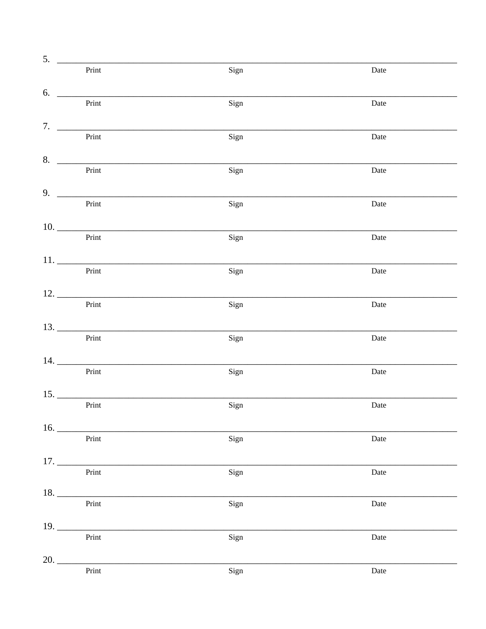| 5.<br>$\frac{1}{2}$ |                                  |      |      |
|---------------------|----------------------------------|------|------|
|                     | Print                            | Sign | Date |
| 6.                  |                                  |      |      |
|                     | Print                            | Sign | Date |
|                     |                                  |      |      |
|                     | Print                            | Sign | Date |
| 8.                  | Print                            |      |      |
|                     |                                  | Sign | Date |
| $9. \_$             |                                  |      |      |
|                     | Print                            | Sign | Date |
|                     | $\frac{10.}{\text{Print}}$       |      |      |
|                     |                                  | Sign | Date |
|                     | Print                            |      | Date |
|                     |                                  | Sign |      |
|                     | Print                            |      |      |
|                     |                                  | Sign | Date |
|                     |                                  |      |      |
|                     | Print                            | Sign | Date |
|                     |                                  |      |      |
|                     | Print                            | Sign | Date |
|                     | $15.$ $\overline{\phantom{151}}$ |      |      |
|                     | Print                            | Sign | Date |
|                     | 16.                              |      |      |
|                     | Print                            | Sign | Date |
|                     | 17.                              |      |      |
|                     | Print                            | Sign | Date |
|                     | 18.                              |      |      |
|                     | Print                            | Sign | Date |
|                     |                                  |      |      |
|                     | Print                            | Sign | Date |
| 20.                 |                                  |      |      |
|                     | Print                            | Sign | Date |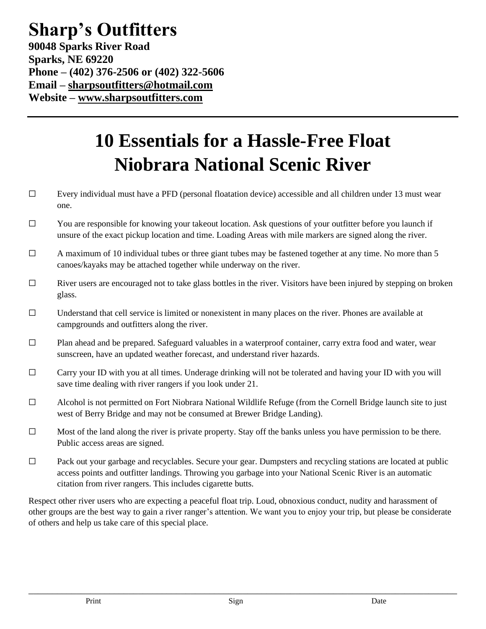## **Sharp's Outfitters 90048 Sparks River Road Sparks, NE 69220 Phone – (402) 376-2506 or (402) 322-5606 Email – [sharpsoutfitters@hotmail.com](mailto:sharpsoutfitters@hotmail.com) Website – [www.sharpsoutfitters.com](http://www.sharpsoutfitters.com/)**

# **10 Essentials for a Hassle-Free Float Niobrara National Scenic River**

- ☐ Every individual must have a PFD (personal floatation device) accessible and all children under 13 must wear one.
- ☐ You are responsible for knowing your takeout location. Ask questions of your outfitter before you launch if unsure of the exact pickup location and time. Loading Areas with mile markers are signed along the river.
- $\Box$  A maximum of 10 individual tubes or three giant tubes may be fastened together at any time. No more than 5 canoes/kayaks may be attached together while underway on the river.
- $\Box$  River users are encouraged not to take glass bottles in the river. Visitors have been injured by stepping on broken glass.
- $\Box$  Understand that cell service is limited or nonexistent in many places on the river. Phones are available at campgrounds and outfitters along the river.
- ☐ Plan ahead and be prepared. Safeguard valuables in a waterproof container, carry extra food and water, wear sunscreen, have an updated weather forecast, and understand river hazards.
- $\Box$  Carry your ID with you at all times. Underage drinking will not be tolerated and having your ID with you will save time dealing with river rangers if you look under 21.
- ☐ Alcohol is not permitted on Fort Niobrara National Wildlife Refuge (from the Cornell Bridge launch site to just west of Berry Bridge and may not be consumed at Brewer Bridge Landing).
- ☐ Most of the land along the river is private property. Stay off the banks unless you have permission to be there. Public access areas are signed.
- ☐ Pack out your garbage and recyclables. Secure your gear. Dumpsters and recycling stations are located at public access points and outfitter landings. Throwing you garbage into your National Scenic River is an automatic citation from river rangers. This includes cigarette butts.

Respect other river users who are expecting a peaceful float trip. Loud, obnoxious conduct, nudity and harassment of other groups are the best way to gain a river ranger's attention. We want you to enjoy your trip, but please be considerate of others and help us take care of this special place.

\_\_\_\_\_\_\_\_\_\_\_\_\_\_\_\_\_\_\_\_\_\_\_\_\_\_\_\_\_\_\_\_\_\_\_\_\_\_\_\_\_\_\_\_\_\_\_\_\_\_\_\_\_\_\_\_\_\_\_\_\_\_\_\_\_\_\_\_\_\_\_\_\_\_\_\_\_\_\_\_\_\_\_\_\_\_\_\_\_\_